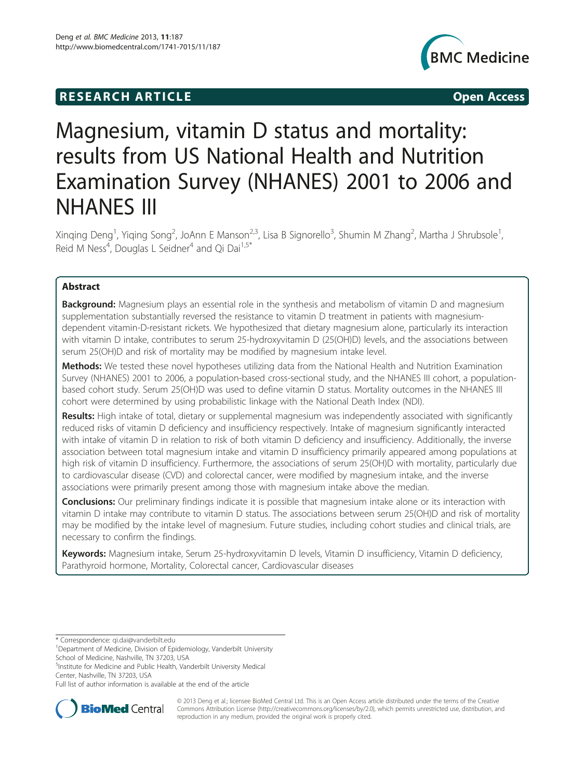## **RESEARCH ARTICLE Example 2014 12:30 The SEAR CHA RESEARCH ARTICLE**



# Magnesium, vitamin D status and mortality: results from US National Health and Nutrition Examination Survey (NHANES) 2001 to 2006 and NHANES III

Xinqing Deng<sup>1</sup>, Yiqing Song<sup>2</sup>, JoAnn E Manson<sup>2,3</sup>, Lisa B Signorello<sup>3</sup>, Shumin M Zhang<sup>2</sup>, Martha J Shrubsole<sup>1</sup> , Reid M Ness<sup>4</sup>, Douglas L Seidner<sup>4</sup> and Qi Dai<sup>1,5\*</sup>

## Abstract

Background: Magnesium plays an essential role in the synthesis and metabolism of vitamin D and magnesium supplementation substantially reversed the resistance to vitamin D treatment in patients with magnesiumdependent vitamin-D-resistant rickets. We hypothesized that dietary magnesium alone, particularly its interaction with vitamin D intake, contributes to serum 25-hydroxyvitamin D (25(OH)D) levels, and the associations between serum 25(OH)D and risk of mortality may be modified by magnesium intake level.

Methods: We tested these novel hypotheses utilizing data from the National Health and Nutrition Examination Survey (NHANES) 2001 to 2006, a population-based cross-sectional study, and the NHANES III cohort, a populationbased cohort study. Serum 25(OH)D was used to define vitamin D status. Mortality outcomes in the NHANES III cohort were determined by using probabilistic linkage with the National Death Index (NDI).

Results: High intake of total, dietary or supplemental magnesium was independently associated with significantly reduced risks of vitamin D deficiency and insufficiency respectively. Intake of magnesium significantly interacted with intake of vitamin D in relation to risk of both vitamin D deficiency and insufficiency. Additionally, the inverse association between total magnesium intake and vitamin D insufficiency primarily appeared among populations at high risk of vitamin D insufficiency. Furthermore, the associations of serum 25(OH)D with mortality, particularly due to cardiovascular disease (CVD) and colorectal cancer, were modified by magnesium intake, and the inverse associations were primarily present among those with magnesium intake above the median.

**Conclusions:** Our preliminary findings indicate it is possible that magnesium intake alone or its interaction with vitamin D intake may contribute to vitamin D status. The associations between serum 25(OH)D and risk of mortality may be modified by the intake level of magnesium. Future studies, including cohort studies and clinical trials, are necessary to confirm the findings.

Keywords: Magnesium intake, Serum 25-hydroxyvitamin D levels, Vitamin D insufficiency, Vitamin D deficiency, Parathyroid hormone, Mortality, Colorectal cancer, Cardiovascular diseases

5 Institute for Medicine and Public Health, Vanderbilt University Medical Center, Nashville, TN 37203, USA

Full list of author information is available at the end of the article



© 2013 Deng et al.; licensee BioMed Central Ltd. This is an Open Access article distributed under the terms of the Creative Commons Attribution License [\(http://creativecommons.org/licenses/by/2.0\)](http://creativecommons.org/licenses/by/2.0), which permits unrestricted use, distribution, and reproduction in any medium, provided the original work is properly cited.

<sup>\*</sup> Correspondence: [qi.dai@vanderbilt.edu](mailto:qi.dai@vanderbilt.edu) <sup>1</sup>

<sup>&</sup>lt;sup>1</sup>Department of Medicine, Division of Epidemiology, Vanderbilt University School of Medicine, Nashville, TN 37203, USA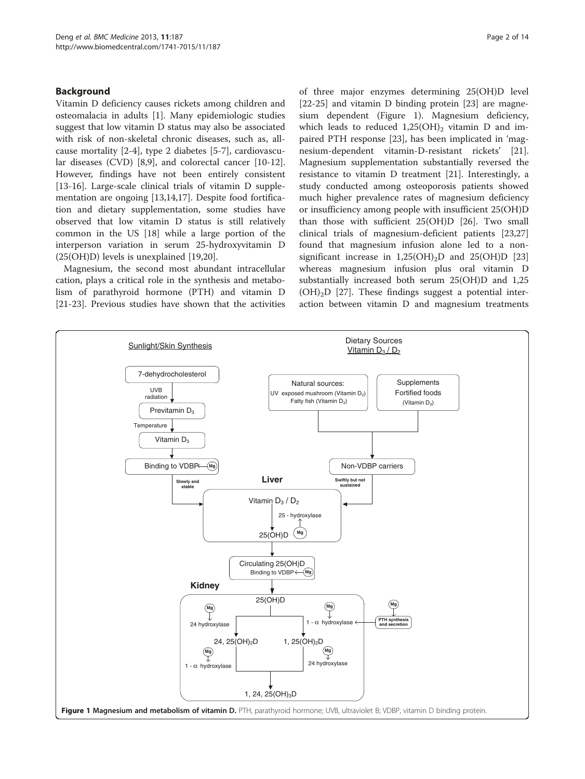## <span id="page-1-0"></span>Background

Vitamin D deficiency causes rickets among children and osteomalacia in adults [\[1](#page-12-0)]. Many epidemiologic studies suggest that low vitamin D status may also be associated with risk of non-skeletal chronic diseases, such as, allcause mortality [\[2](#page-12-0)-[4\]](#page-12-0), type 2 diabetes [[5-7](#page-12-0)], cardiovascular diseases (CVD) [[8,9\]](#page-12-0), and colorectal cancer [\[10-12](#page-12-0)]. However, findings have not been entirely consistent [[13-16](#page-12-0)]. Large-scale clinical trials of vitamin D supplementation are ongoing [\[13,14,17\]](#page-12-0). Despite food fortification and dietary supplementation, some studies have observed that low vitamin D status is still relatively common in the US [[18\]](#page-12-0) while a large portion of the interperson variation in serum 25-hydroxyvitamin D (25(OH)D) levels is unexplained [[19,20\]](#page-12-0).

Magnesium, the second most abundant intracellular cation, plays a critical role in the synthesis and metabolism of parathyroid hormone (PTH) and vitamin D [[21-23](#page-12-0)]. Previous studies have shown that the activities of three major enzymes determining 25(OH)D level [[22-25](#page-12-0)] and vitamin D binding protein [[23](#page-12-0)] are magnesium dependent (Figure 1). Magnesium deficiency, which leads to reduced  $1,25(OH)_2$  vitamin D and impaired PTH response [\[23](#page-12-0)], has been implicated in 'magnesium-dependent vitamin-D-resistant rickets' [\[21](#page-12-0)]. Magnesium supplementation substantially reversed the resistance to vitamin D treatment [[21\]](#page-12-0). Interestingly, a study conducted among osteoporosis patients showed much higher prevalence rates of magnesium deficiency or insufficiency among people with insufficient 25(OH)D than those with sufficient 25(OH)D [[26](#page-12-0)]. Two small clinical trials of magnesium-deficient patients [[23](#page-12-0),[27](#page-12-0)] found that magnesium infusion alone led to a nonsignificant increase in  $1,25(OH)_{2}D$  and  $25(OH)D$  [[23](#page-12-0)] whereas magnesium infusion plus oral vitamin D substantially increased both serum 25(OH)D and 1,25  $(OH)<sub>2</sub>D$  [\[27\]](#page-12-0). These findings suggest a potential interaction between vitamin D and magnesium treatments

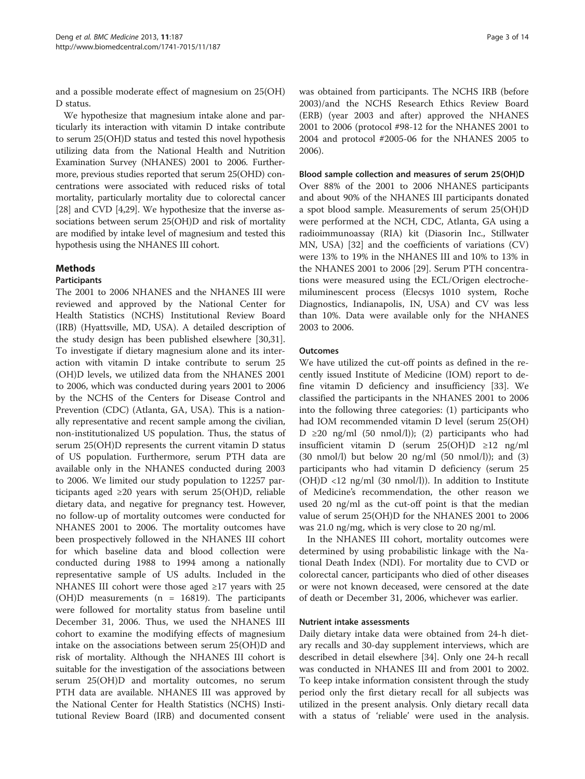and a possible moderate effect of magnesium on 25(OH) D status.

We hypothesize that magnesium intake alone and particularly its interaction with vitamin D intake contribute to serum 25(OH)D status and tested this novel hypothesis utilizing data from the National Health and Nutrition Examination Survey (NHANES) 2001 to 2006. Furthermore, previous studies reported that serum 25(OHD) concentrations were associated with reduced risks of total mortality, particularly mortality due to colorectal cancer [[28](#page-12-0)] and CVD [[4,29\]](#page-12-0). We hypothesize that the inverse associations between serum 25(OH)D and risk of mortality are modified by intake level of magnesium and tested this hypothesis using the NHANES III cohort.

## Methods

## Participants

The 2001 to 2006 NHANES and the NHANES III were reviewed and approved by the National Center for Health Statistics (NCHS) Institutional Review Board (IRB) (Hyattsville, MD, USA). A detailed description of the study design has been published elsewhere [\[30,31](#page-12-0)]. To investigate if dietary magnesium alone and its interaction with vitamin D intake contribute to serum 25 (OH)D levels, we utilized data from the NHANES 2001 to 2006, which was conducted during years 2001 to 2006 by the NCHS of the Centers for Disease Control and Prevention (CDC) (Atlanta, GA, USA). This is a nationally representative and recent sample among the civilian, non-institutionalized US population. Thus, the status of serum 25(OH)D represents the current vitamin D status of US population. Furthermore, serum PTH data are available only in the NHANES conducted during 2003 to 2006. We limited our study population to 12257 participants aged  $\geq 20$  years with serum 25(OH)D, reliable dietary data, and negative for pregnancy test. However, no follow-up of mortality outcomes were conducted for NHANES 2001 to 2006. The mortality outcomes have been prospectively followed in the NHANES III cohort for which baseline data and blood collection were conducted during 1988 to 1994 among a nationally representative sample of US adults. Included in the NHANES III cohort were those aged  $\geq$ 17 years with 25 (OH)D measurements ( $n = 16819$ ). The participants were followed for mortality status from baseline until December 31, 2006. Thus, we used the NHANES III cohort to examine the modifying effects of magnesium intake on the associations between serum 25(OH)D and risk of mortality. Although the NHANES III cohort is suitable for the investigation of the associations between serum 25(OH)D and mortality outcomes, no serum PTH data are available. NHANES III was approved by the National Center for Health Statistics (NCHS) Institutional Review Board (IRB) and documented consent

was obtained from participants. The NCHS IRB (before 2003)/and the NCHS Research Ethics Review Board (ERB) (year 2003 and after) approved the NHANES 2001 to 2006 (protocol #98-12 for the NHANES 2001 to 2004 and protocol #2005-06 for the NHANES 2005 to 2006).

#### Blood sample collection and measures of serum 25(OH)D

Over 88% of the 2001 to 2006 NHANES participants and about 90% of the NHANES III participants donated a spot blood sample. Measurements of serum 25(OH)D were performed at the NCH, CDC, Atlanta, GA using a radioimmunoassay (RIA) kit (Diasorin Inc., Stillwater MN, USA) [[32](#page-12-0)] and the coefficients of variations (CV) were 13% to 19% in the NHANES III and 10% to 13% in the NHANES 2001 to 2006 [[29\]](#page-12-0). Serum PTH concentrations were measured using the ECL/Origen electrochemiluminescent process (Elecsys 1010 system, Roche Diagnostics, Indianapolis, IN, USA) and CV was less than 10%. Data were available only for the NHANES 2003 to 2006.

#### **Outcomes**

We have utilized the cut-off points as defined in the recently issued Institute of Medicine (IOM) report to define vitamin D deficiency and insufficiency [\[33\]](#page-12-0). We classified the participants in the NHANES 2001 to 2006 into the following three categories: (1) participants who had IOM recommended vitamin D level (serum 25(OH) D  $\geq$ 20 ng/ml (50 nmol/l)); (2) participants who had insufficient vitamin D (serum 25(OH)D ≥12 ng/ml  $(30 \text{ nmol/l})$  but below 20 ng/ml  $(50 \text{ nmol/l})$ ; and  $(3)$ participants who had vitamin D deficiency (serum 25  $(OH)D < 12$  ng/ml  $(30 \text{ nmol/l})$ . In addition to Institute of Medicine's recommendation, the other reason we used 20 ng/ml as the cut-off point is that the median value of serum 25(OH)D for the NHANES 2001 to 2006 was 21.0 ng/mg, which is very close to 20 ng/ml.

In the NHANES III cohort, mortality outcomes were determined by using probabilistic linkage with the National Death Index (NDI). For mortality due to CVD or colorectal cancer, participants who died of other diseases or were not known deceased, were censored at the date of death or December 31, 2006, whichever was earlier.

## Nutrient intake assessments

Daily dietary intake data were obtained from 24-h dietary recalls and 30-day supplement interviews, which are described in detail elsewhere [\[34\]](#page-12-0). Only one 24-h recall was conducted in NHANES III and from 2001 to 2002. To keep intake information consistent through the study period only the first dietary recall for all subjects was utilized in the present analysis. Only dietary recall data with a status of 'reliable' were used in the analysis.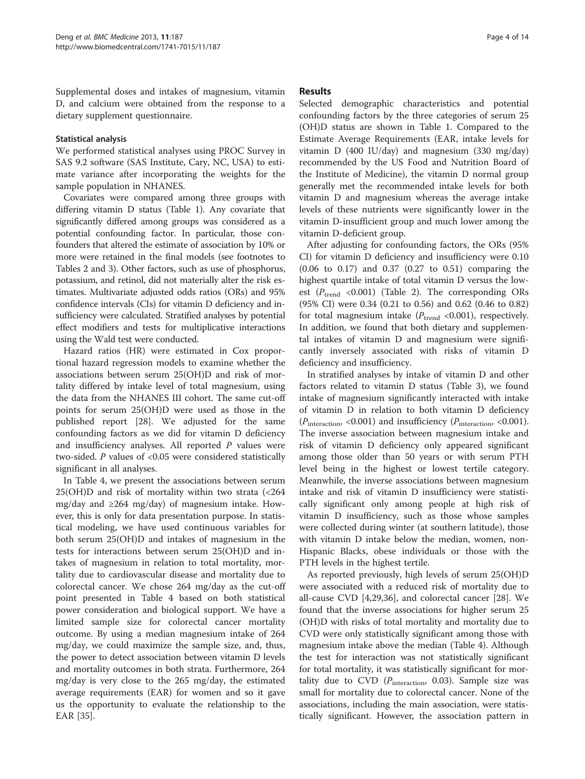Supplemental doses and intakes of magnesium, vitamin D, and calcium were obtained from the response to a dietary supplement questionnaire.

## Statistical analysis

We performed statistical analyses using PROC Survey in SAS 9.2 software (SAS Institute, Cary, NC, USA) to estimate variance after incorporating the weights for the sample population in NHANES.

Covariates were compared among three groups with differing vitamin D status (Table [1](#page-4-0)). Any covariate that significantly differed among groups was considered as a potential confounding factor. In particular, those confounders that altered the estimate of association by 10% or more were retained in the final models (see footnotes to Tables [2](#page-6-0) and [3](#page-7-0)). Other factors, such as use of phosphorus, potassium, and retinol, did not materially alter the risk estimates. Multivariate adjusted odds ratios (ORs) and 95% confidence intervals (CIs) for vitamin D deficiency and insufficiency were calculated. Stratified analyses by potential effect modifiers and tests for multiplicative interactions using the Wald test were conducted.

Hazard ratios (HR) were estimated in Cox proportional hazard regression models to examine whether the associations between serum 25(OH)D and risk of mortality differed by intake level of total magnesium, using the data from the NHANES III cohort. The same cut-off points for serum 25(OH)D were used as those in the published report [[28\]](#page-12-0). We adjusted for the same confounding factors as we did for vitamin D deficiency and insufficiency analyses. All reported  $P$  values were two-sided.  $P$  values of <0.05 were considered statistically significant in all analyses.

In Table [4,](#page-10-0) we present the associations between serum 25(OH)D and risk of mortality within two strata (<264 mg/day and  $\geq 264$  mg/day) of magnesium intake. However, this is only for data presentation purpose. In statistical modeling, we have used continuous variables for both serum 25(OH)D and intakes of magnesium in the tests for interactions between serum 25(OH)D and intakes of magnesium in relation to total mortality, mortality due to cardiovascular disease and mortality due to colorectal cancer. We chose 264 mg/day as the cut-off point presented in Table [4](#page-10-0) based on both statistical power consideration and biological support. We have a limited sample size for colorectal cancer mortality outcome. By using a median magnesium intake of 264 mg/day, we could maximize the sample size, and, thus, the power to detect association between vitamin D levels and mortality outcomes in both strata. Furthermore, 264 mg/day is very close to the 265 mg/day, the estimated average requirements (EAR) for women and so it gave us the opportunity to evaluate the relationship to the EAR [[35](#page-12-0)].

## **Results**

Selected demographic characteristics and potential confounding factors by the three categories of serum 25 (OH)D status are shown in Table [1.](#page-4-0) Compared to the Estimate Average Requirements (EAR, intake levels for vitamin D (400 IU/day) and magnesium (330 mg/day) recommended by the US Food and Nutrition Board of the Institute of Medicine), the vitamin D normal group generally met the recommended intake levels for both vitamin D and magnesium whereas the average intake levels of these nutrients were significantly lower in the vitamin D-insufficient group and much lower among the vitamin D-deficient group.

After adjusting for confounding factors, the ORs (95% CI) for vitamin D deficiency and insufficiency were 0.10 (0.06 to 0.17) and 0.37 (0.27 to 0.51) comparing the highest quartile intake of total vitamin D versus the lowest ( $P_{\text{trend}}$  <0.001) (Table [2\)](#page-6-0). The corresponding ORs (95% CI) were 0.34 (0.21 to 0.56) and 0.62 (0.46 to 0.82) for total magnesium intake  $(P_{trend} < 0.001)$ , respectively. In addition, we found that both dietary and supplemental intakes of vitamin D and magnesium were significantly inversely associated with risks of vitamin D deficiency and insufficiency.

In stratified analyses by intake of vitamin D and other factors related to vitamin D status (Table [3\)](#page-7-0), we found intake of magnesium significantly interacted with intake of vitamin D in relation to both vitamin D deficiency  $(P_{\text{interaction}} \leq 0.001)$  and insufficiency  $(P_{\text{interaction}} \leq 0.001)$ . The inverse association between magnesium intake and risk of vitamin D deficiency only appeared significant among those older than 50 years or with serum PTH level being in the highest or lowest tertile category. Meanwhile, the inverse associations between magnesium intake and risk of vitamin D insufficiency were statistically significant only among people at high risk of vitamin D insufficiency, such as those whose samples were collected during winter (at southern latitude), those with vitamin D intake below the median, women, non-Hispanic Blacks, obese individuals or those with the PTH levels in the highest tertile.

As reported previously, high levels of serum 25(OH)D were associated with a reduced risk of mortality due to all-cause CVD [[4](#page-12-0),[29](#page-12-0),[36](#page-12-0)], and colorectal cancer [\[28](#page-12-0)]. We found that the inverse associations for higher serum 25 (OH)D with risks of total mortality and mortality due to CVD were only statistically significant among those with magnesium intake above the median (Table [4\)](#page-10-0). Although the test for interaction was not statistically significant for total mortality, it was statistically significant for mortality due to CVD ( $P_{\text{interaction}}$ , 0.03). Sample size was small for mortality due to colorectal cancer. None of the associations, including the main association, were statistically significant. However, the association pattern in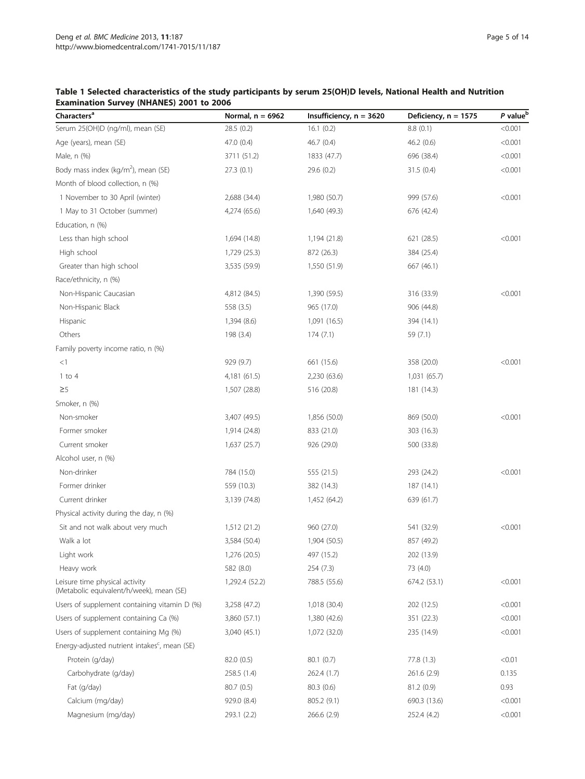## <span id="page-4-0"></span>Table 1 Selected characteristics of the study participants by serum 25(OH)D levels, National Health and Nutrition Examination Survey (NHANES) 2001 to 2006

| Characters <sup>a</sup>                                                    | Normal, $n = 6962$ | Insufficiency, $n = 3620$ | Deficiency, $n = 1575$ | P value <sup>b</sup> |
|----------------------------------------------------------------------------|--------------------|---------------------------|------------------------|----------------------|
| Serum 25(OH)D (ng/ml), mean (SE)                                           | 28.5(0.2)          | 16.1(0.2)                 | 8.8(0.1)               | < 0.001              |
| Age (years), mean (SE)                                                     | 47.0 (0.4)         | 46.7 (0.4)                | 46.2(0.6)              | < 0.001              |
| Male, n (%)                                                                | 3711 (51.2)        | 1833 (47.7)               | 696 (38.4)             | < 0.001              |
| Body mass index (kg/m <sup>2</sup> ), mean (SE)                            | 27.3(0.1)          | 29.6 (0.2)                | 31.5(0.4)              | < 0.001              |
| Month of blood collection, n (%)                                           |                    |                           |                        |                      |
| 1 November to 30 April (winter)                                            | 2,688 (34.4)       | 1,980 (50.7)              | 999 (57.6)             | < 0.001              |
| 1 May to 31 October (summer)                                               | 4,274 (65.6)       | 1,640 (49.3)              | 676 (42.4)             |                      |
| Education, n (%)                                                           |                    |                           |                        |                      |
| Less than high school                                                      | 1,694 (14.8)       | 1,194 (21.8)              | 621 (28.5)             | < 0.001              |
| High school                                                                | 1,729 (25.3)       | 872 (26.3)                | 384 (25.4)             |                      |
| Greater than high school                                                   | 3,535 (59.9)       | 1,550 (51.9)              | 667 (46.1)             |                      |
| Race/ethnicity, n (%)                                                      |                    |                           |                        |                      |
| Non-Hispanic Caucasian                                                     | 4,812 (84.5)       | 1,390 (59.5)              | 316 (33.9)             | < 0.001              |
| Non-Hispanic Black                                                         | 558 (3.5)          | 965 (17.0)                | 906 (44.8)             |                      |
| Hispanic                                                                   | 1,394 (8.6)        | 1,091 (16.5)              | 394 (14.1)             |                      |
| Others                                                                     | 198 (3.4)          | 174(7.1)                  | 59 (7.1)               |                      |
| Family poverty income ratio, n (%)                                         |                    |                           |                        |                      |
| <1                                                                         | 929 (9.7)          | 661 (15.6)                | 358 (20.0)             | < 0.001              |
| $1$ to $4$                                                                 | 4,181 (61.5)       | 2,230 (63.6)              | 1,031 (65.7)           |                      |
| $\geq 5$                                                                   | 1,507 (28.8)       | 516 (20.8)                | 181 (14.3)             |                      |
| Smoker, n (%)                                                              |                    |                           |                        |                      |
| Non-smoker                                                                 | 3,407 (49.5)       | 1,856 (50.0)              | 869 (50.0)             | < 0.001              |
| Former smoker                                                              | 1,914 (24.8)       | 833 (21.0)                | 303 (16.3)             |                      |
| Current smoker                                                             | 1,637 (25.7)       | 926 (29.0)                | 500 (33.8)             |                      |
| Alcohol user, n (%)                                                        |                    |                           |                        |                      |
| Non-drinker                                                                | 784 (15.0)         | 555 (21.5)                | 293 (24.2)             | < 0.001              |
| Former drinker                                                             | 559 (10.3)         | 382 (14.3)                | 187 (14.1)             |                      |
| Current drinker                                                            | 3,139 (74.8)       | 1,452 (64.2)              | 639 (61.7)             |                      |
| Physical activity during the day, n (%)                                    |                    |                           |                        |                      |
| Sit and not walk about very much                                           | 1,512 (21.2)       | 960 (27.0)                | 541 (32.9)             | < 0.001              |
| Walk a lot                                                                 | 3,584 (50.4)       | 1,904 (50.5)              | 857 (49.2)             |                      |
| Light work                                                                 | 1,276 (20.5)       | 497 (15.2)                | 202 (13.9)             |                      |
| Heavy work                                                                 | 582 (8.0)          | 254 (7.3)                 | 73 (4.0)               |                      |
| Leisure time physical activity<br>(Metabolic equivalent/h/week), mean (SE) | 1,292.4 (52.2)     | 788.5 (55.6)              | 674.2 (53.1)           | < 0.001              |
| Users of supplement containing vitamin D (%)                               | 3,258 (47.2)       | 1,018 (30.4)              | 202 (12.5)             | < 0.001              |
| Users of supplement containing Ca (%)                                      | 3,860 (57.1)       | 1,380 (42.6)              | 351 (22.3)             | < 0.001              |
| Users of supplement containing Mg (%)                                      | 3,040 (45.1)       | 1,072 (32.0)              | 235 (14.9)             | < 0.001              |
| Energy-adjusted nutrient intakes <sup>c</sup> , mean (SE)                  |                    |                           |                        |                      |
| Protein (g/day)                                                            | 82.0 (0.5)         | 80.1 (0.7)                | 77.8 (1.3)             | < 0.01               |
| Carbohydrate (g/day)                                                       | 258.5 (1.4)        | 262.4 (1.7)               | 261.6 (2.9)            | 0.135                |
| Fat (g/day)                                                                | 80.7 (0.5)         | 80.3 (0.6)                | 81.2 (0.9)             | 0.93                 |
| Calcium (mg/day)                                                           | 929.0 (8.4)        | 805.2 (9.1)               | 690.3 (13.6)           | < 0.001              |
| Magnesium (mg/day)                                                         | 293.1 (2.2)        | 266.6 (2.9)               | 252.4 (4.2)            | < 0.001              |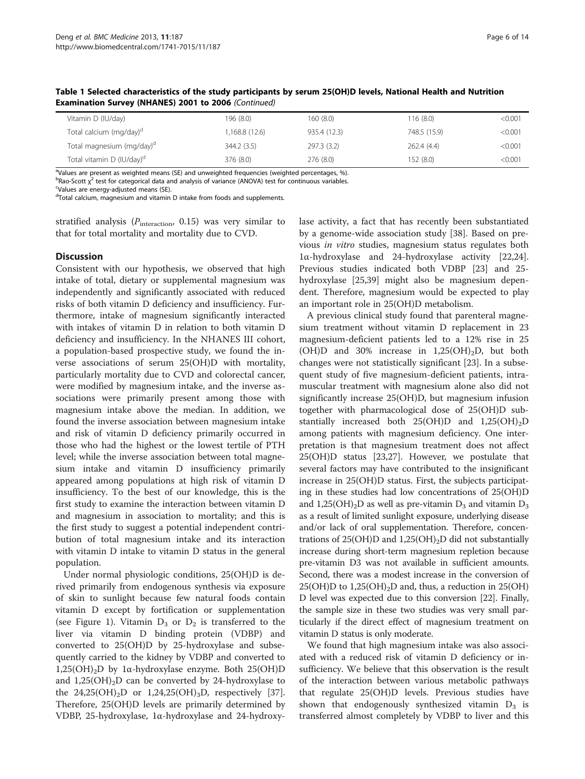| Vitamin D (IU/day)                    | 196 (8.0)      | 160(8.0)     | 116(8.0)     | < 0.001 |
|---------------------------------------|----------------|--------------|--------------|---------|
| Total calcium (mg/day) <sup>d</sup>   | 1,168.8 (12.6) | 935.4 (12.3) | 748.5 (15.9) | < 0.001 |
| Total magnesium (mg/day) <sup>d</sup> | 344.2(3.5)     | 297.3 (3.2)  | 262.4 (4.4)  | < 0.001 |
| Total vitamin D (IU/day) <sup>d</sup> | 376 (8.0)      | 276(8.0)     | 152(8.0)     | < 0.001 |

Table 1 Selected characteristics of the study participants by serum 25(OH)D levels, National Health and Nutrition Examination Survey (NHANES) 2001 to 2006 (Continued)

<sup>a</sup>Values are present as weighted means (SE) and unweighted frequencies (weighted percentages, %).

b<sub>Rao-Scott χ</sub><sup>2</sup> test for categorical data and analysis of variance (ANOVA) test for continuous variables.<br>Stalues are energy-adjusted means (SE)

Values are energy-adjusted means (SE).

<sup>d</sup>Total calcium, magnesium and vitamin D intake from foods and supplements.

stratified analysis ( $P_{\text{interaction}}$ , 0.15) was very similar to that for total mortality and mortality due to CVD.

#### **Discussion**

Consistent with our hypothesis, we observed that high intake of total, dietary or supplemental magnesium was independently and significantly associated with reduced risks of both vitamin D deficiency and insufficiency. Furthermore, intake of magnesium significantly interacted with intakes of vitamin D in relation to both vitamin D deficiency and insufficiency. In the NHANES III cohort, a population-based prospective study, we found the inverse associations of serum 25(OH)D with mortality, particularly mortality due to CVD and colorectal cancer, were modified by magnesium intake, and the inverse associations were primarily present among those with magnesium intake above the median. In addition, we found the inverse association between magnesium intake and risk of vitamin D deficiency primarily occurred in those who had the highest or the lowest tertile of PTH level; while the inverse association between total magnesium intake and vitamin D insufficiency primarily appeared among populations at high risk of vitamin D insufficiency. To the best of our knowledge, this is the first study to examine the interaction between vitamin D and magnesium in association to mortality; and this is the first study to suggest a potential independent contribution of total magnesium intake and its interaction with vitamin D intake to vitamin D status in the general population.

Under normal physiologic conditions, 25(OH)D is derived primarily from endogenous synthesis via exposure of skin to sunlight because few natural foods contain vitamin D except by fortification or supplementation (see Figure [1](#page-1-0)). Vitamin  $D_3$  or  $D_2$  is transferred to the liver via vitamin D binding protein (VDBP) and converted to 25(OH)D by 25-hydroxylase and subsequently carried to the kidney by VDBP and converted to 1,25(OH)<sub>2</sub>D by 1α-hydroxylase enzyme. Both 25(OH)D and  $1,25(OH)<sub>2</sub>D$  can be converted by 24-hydroxylase to the  $24,25(OH)_{2}D$  or  $1,24,25(OH)_{3}D$ , respectively [\[37](#page-12-0)]. Therefore, 25(OH)D levels are primarily determined by VDBP, 25-hydroxylase, 1α-hydroxylase and 24-hydroxylase activity, a fact that has recently been substantiated by a genome-wide association study [\[38](#page-12-0)]. Based on previous in vitro studies, magnesium status regulates both 1α-hydroxylase and 24-hydroxylase activity [\[22,24](#page-12-0)]. Previous studies indicated both VDBP [\[23\]](#page-12-0) and 25 hydroxylase [[25](#page-12-0),[39](#page-12-0)] might also be magnesium dependent. Therefore, magnesium would be expected to play an important role in 25(OH)D metabolism.

A previous clinical study found that parenteral magnesium treatment without vitamin D replacement in 23 magnesium-deficient patients led to a 12% rise in 25 (OH)D and 30% increase in  $1,25(OH)_{2}D$ , but both changes were not statistically significant [\[23](#page-12-0)]. In a subsequent study of five magnesium-deficient patients, intramuscular treatment with magnesium alone also did not significantly increase 25(OH)D, but magnesium infusion together with pharmacological dose of 25(OH)D substantially increased both  $25(OH)D$  and  $1,25(OH)_{2}D$ among patients with magnesium deficiency. One interpretation is that magnesium treatment does not affect 25(OH)D status [\[23,27\]](#page-12-0). However, we postulate that several factors may have contributed to the insignificant increase in 25(OH)D status. First, the subjects participating in these studies had low concentrations of 25(OH)D and 1,25(OH)<sub>2</sub>D as well as pre-vitamin  $D_3$  and vitamin  $D_3$ as a result of limited sunlight exposure, underlying disease and/or lack of oral supplementation. Therefore, concentrations of 25(OH)D and 1,25(OH)<sub>2</sub>D did not substantially increase during short-term magnesium repletion because pre-vitamin D3 was not available in sufficient amounts. Second, there was a modest increase in the conversion of  $25(OH)D$  to  $1,25(OH)_{2}D$  and, thus, a reduction in  $25(OH)$ D level was expected due to this conversion [[22](#page-12-0)]. Finally, the sample size in these two studies was very small particularly if the direct effect of magnesium treatment on vitamin D status is only moderate.

We found that high magnesium intake was also associated with a reduced risk of vitamin D deficiency or insufficiency. We believe that this observation is the result of the interaction between various metabolic pathways that regulate 25(OH)D levels. Previous studies have shown that endogenously synthesized vitamin  $D_3$  is transferred almost completely by VDBP to liver and this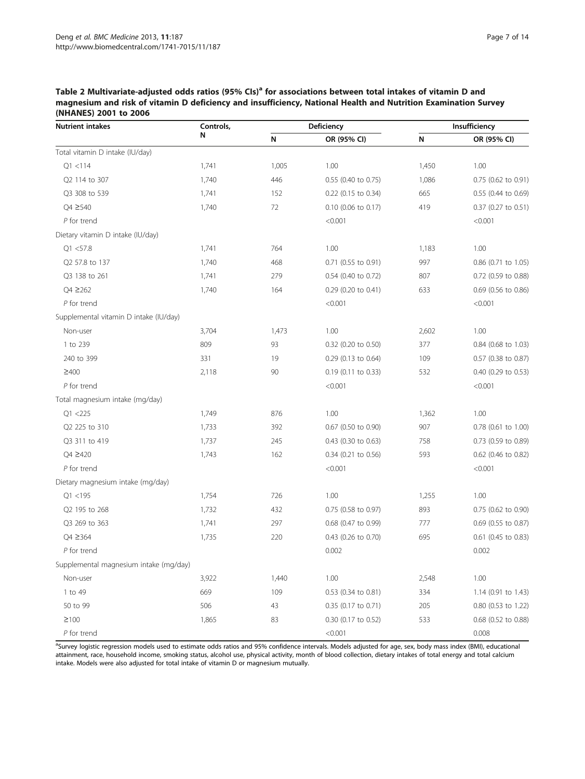<span id="page-6-0"></span>Table 2 Multivariate-adjusted odds ratios (95% CIs)<sup>a</sup> for associations between total intakes of vitamin D and magnesium and risk of vitamin D deficiency and insufficiency, National Health and Nutrition Examination Survey (NHANES) 2001 to 2006

| <b>Nutrient intakes</b>                | Controls,<br>N | Deficiency |                       | Insufficiency |                     |
|----------------------------------------|----------------|------------|-----------------------|---------------|---------------------|
|                                        |                | N          | OR (95% CI)           | N             | OR (95% CI)         |
| Total vitamin D intake (IU/day)        |                |            |                       |               |                     |
| Q1 < 114                               | 1,741          | 1,005      | 1.00                  | 1,450         | 1.00                |
| Q2 114 to 307                          | 1,740          | 446        | 0.55 (0.40 to 0.75)   | 1,086         | 0.75 (0.62 to 0.91) |
| Q3 308 to 539                          | 1,741          | 152        | 0.22 (0.15 to 0.34)   | 665           | 0.55 (0.44 to 0.69) |
| Q4 ≥540                                | 1,740          | 72         | 0.10 (0.06 to 0.17)   | 419           | 0.37 (0.27 to 0.51) |
| P for trend                            |                |            | < 0.001               |               | < 0.001             |
| Dietary vitamin D intake (IU/day)      |                |            |                       |               |                     |
| Q1 < 57.8                              | 1,741          | 764        | 1.00                  | 1,183         | 1.00                |
| Q2 57.8 to 137                         | 1,740          | 468        | $0.71$ (0.55 to 0.91) | 997           | 0.86 (0.71 to 1.05) |
| Q3 138 to 261                          | 1,741          | 279        | 0.54 (0.40 to 0.72)   | 807           | 0.72 (0.59 to 0.88) |
| $Q4 \ge 262$                           | 1,740          | 164        | 0.29 (0.20 to 0.41)   | 633           | 0.69 (0.56 to 0.86) |
| $P$ for trend                          |                |            | < 0.001               |               | < 0.001             |
| Supplemental vitamin D intake (IU/day) |                |            |                       |               |                     |
| Non-user                               | 3,704          | 1,473      | 1.00                  | 2,602         | 1.00                |
| 1 to 239                               | 809            | 93         | 0.32 (0.20 to 0.50)   | 377           | 0.84 (0.68 to 1.03) |
| 240 to 399                             | 331            | 19         | 0.29 (0.13 to 0.64)   | 109           | 0.57 (0.38 to 0.87) |
| $\geq 400$                             | 2,118          | 90         | 0.19 (0.11 to 0.33)   | 532           | 0.40 (0.29 to 0.53) |
| $P$ for trend                          |                |            | < 0.001               |               | < 0.001             |
| Total magnesium intake (mg/day)        |                |            |                       |               |                     |
| Q1 < 225                               | 1,749          | 876        | 1.00                  | 1,362         | 1.00                |
| Q2 225 to 310                          | 1,733          | 392        | 0.67 (0.50 to 0.90)   | 907           | 0.78 (0.61 to 1.00) |
| Q3 311 to 419                          | 1,737          | 245        | $0.43$ (0.30 to 0.63) | 758           | 0.73 (0.59 to 0.89) |
| Q4 ≥420                                | 1,743          | 162        | 0.34 (0.21 to 0.56)   | 593           | 0.62 (0.46 to 0.82) |
| P for trend                            |                |            | < 0.001               |               | < 0.001             |
| Dietary magnesium intake (mg/day)      |                |            |                       |               |                     |
| Q1 < 195                               | 1,754          | 726        | 1.00                  | 1,255         | 1.00                |
| Q2 195 to 268                          | 1,732          | 432        | 0.75 (0.58 to 0.97)   | 893           | 0.75 (0.62 to 0.90) |
| Q3 269 to 363                          | 1,741          | 297        | 0.68 (0.47 to 0.99)   | 777           | 0.69 (0.55 to 0.87) |
| Q4 ≥364                                | 1,735          | 220        | 0.43 (0.26 to 0.70)   | 695           | 0.61 (0.45 to 0.83) |
| $P$ for trend                          |                |            | 0.002                 |               | 0.002               |
| Supplemental magnesium intake (mg/day) |                |            |                       |               |                     |
| Non-user                               | 3,922          | 1,440      | 1.00                  | 2,548         | 1.00                |
| 1 to 49                                | 669            | 109        | 0.53 (0.34 to 0.81)   | 334           | 1.14 (0.91 to 1.43) |
| 50 to 99                               | 506            | 43         | 0.35 (0.17 to 0.71)   | 205           | 0.80 (0.53 to 1.22) |
| $\geq$ 100                             | 1,865          | 83         | 0.30 (0.17 to 0.52)   | 533           | 0.68 (0.52 to 0.88) |
| $P$ for trend                          |                |            | < 0.001               |               | 0.008               |

<sup>a</sup>Survey logistic regression models used to estimate odds ratios and 95% confidence intervals. Models adjusted for age, sex, body mass index (BMI), educational attainment, race, household income, smoking status, alcohol use, physical activity, month of blood collection, dietary intakes of total energy and total calcium intake. Models were also adjusted for total intake of vitamin D or magnesium mutually.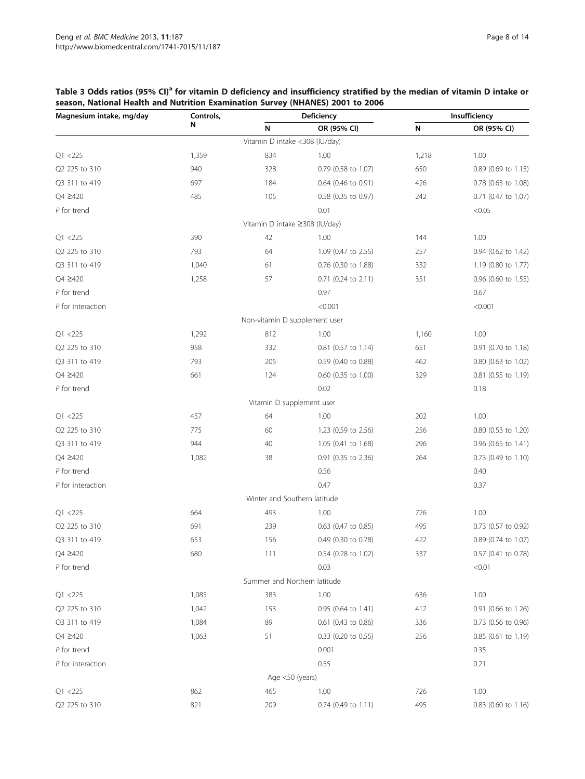| Magnesium intake, mg/day | Controls, | Deficiency                     |                     | Insufficiency |                     |
|--------------------------|-----------|--------------------------------|---------------------|---------------|---------------------|
|                          | N         | N                              | OR (95% CI)         | N             | OR (95% CI)         |
|                          |           | Vitamin D intake <308 (IU/day) |                     |               |                     |
| Q1 < 225                 | 1,359     | 834                            | 1.00                | 1,218         | 1.00                |
| Q2 225 to 310            | 940       | 328                            | 0.79 (0.58 to 1.07) | 650           | 0.89 (0.69 to 1.15) |
| Q3 311 to 419            | 697       | 184                            | 0.64 (0.46 to 0.91) | 426           | 0.78 (0.63 to 1.08) |
| Q4 ≥420                  | 485       | 105                            | 0.58 (0.35 to 0.97) | 242           | 0.71 (0.47 to 1.07) |
| $P$ for trend            |           |                                | 0.01                |               | < 0.05              |
|                          |           | Vitamin D intake ≥308 (IU/day) |                     |               |                     |
| Q1 < 225                 | 390       | 42                             | 1.00                | 144           | 1.00                |
| Q2 225 to 310            | 793       | 64                             | 1.09 (0.47 to 2.55) | 257           | 0.94 (0.62 to 1.42) |
| Q3 311 to 419            | 1,040     | 61                             | 0.76 (0.30 to 1.88) | 332           | 1.19 (0.80 to 1.77) |
| Q4 ≥420                  | 1,258     | 57                             | 0.71 (0.24 to 2.11) | 351           | 0.96 (0.60 to 1.55) |
| $P$ for trend            |           |                                | 0.97                |               | 0.67                |
| $P$ for interaction      |           |                                | < 0.001             |               | < 0.001             |
|                          |           | Non-vitamin D supplement user  |                     |               |                     |
| Q1 < 225                 | 1,292     | 812                            | 1.00                | 1,160         | 1.00                |
| Q2 225 to 310            | 958       | 332                            | 0.81 (0.57 to 1.14) | 651           | 0.91 (0.70 to 1.18) |
| Q3 311 to 419            | 793       | 205                            | 0.59 (0.40 to 0.88) | 462           | 0.80 (0.63 to 1.02) |
| Q4 ≥420                  | 661       | 124                            | 0.60 (0.35 to 1.00) | 329           | 0.81 (0.55 to 1.19) |
| $P$ for trend            |           |                                | 0.02                |               | 0.18                |
|                          |           | Vitamin D supplement user      |                     |               |                     |
| Q1 < 225                 | 457       | 64                             | 1.00                | 202           | 1.00                |
| Q2 225 to 310            | 775       | 60                             | 1.23 (0.59 to 2.56) | 256           | 0.80 (0.53 to 1.20) |
| Q3 311 to 419            | 944       | 40                             | 1.05 (0.41 to 1.68) | 296           | 0.96 (0.65 to 1.41) |
| Q4 ≥420                  | 1,082     | 38                             | 0.91 (0.35 to 2.36) | 264           | 0.73 (0.49 to 1.10) |
| $P$ for trend            |           |                                | 0.56                |               | 0.40                |
| $P$ for interaction      |           |                                | 0.47                |               | 0.37                |
|                          |           | Winter and Southern latitude   |                     |               |                     |
| Q1 < 225                 | 664       | 493                            | 1.00                | 726           | 1.00                |
| Q2 225 to 310            | 691       | 239                            | 0.63 (0.47 to 0.85) | 495           | 0.73 (0.57 to 0.92) |
| Q3 311 to 419            | 653       | 156                            | 0.49 (0.30 to 0.78) | 422           | 0.89 (0.74 to 1.07) |
| Q4 ≥420                  | 680       | 111                            | 0.54 (0.28 to 1.02) | 337           | 0.57 (0.41 to 0.78) |
| $P$ for trend            |           |                                | 0.03                |               | < 0.01              |
|                          |           | Summer and Northern latitude   |                     |               |                     |
| Q1 < 225                 | 1,085     | 383                            | 1.00                | 636           | 1.00                |
| Q2 225 to 310            | 1,042     | 153                            | 0.95 (0.64 to 1.41) | 412           | 0.91 (0.66 to 1.26) |
| Q3 311 to 419            | 1,084     | 89                             | 0.61 (0.43 to 0.86) | 336           | 0.73 (0.56 to 0.96) |
| Q4 ≥420                  | 1,063     | 51                             | 0.33 (0.20 to 0.55) | 256           | 0.85 (0.61 to 1.19) |
| $P$ for trend            |           |                                | 0.001               |               | 0.35                |
| $P$ for interaction      |           |                                | 0.55                |               | 0.21                |
|                          |           | Age <50 (years)                |                     |               |                     |
| Q1 < 225                 | 862       | 465                            | 1.00                | 726           | 1.00                |
| Q2 225 to 310            | 821       | 209                            | 0.74 (0.49 to 1.11) | 495           | 0.83 (0.60 to 1.16) |

## <span id="page-7-0"></span>Table 3 Odds ratios (95% CI)<sup>a</sup> for vitamin D deficiency and insufficiency stratified by the median of vitamin D intake or season, National Health and Nutrition Examination Survey (NHANES) 2001 to 2006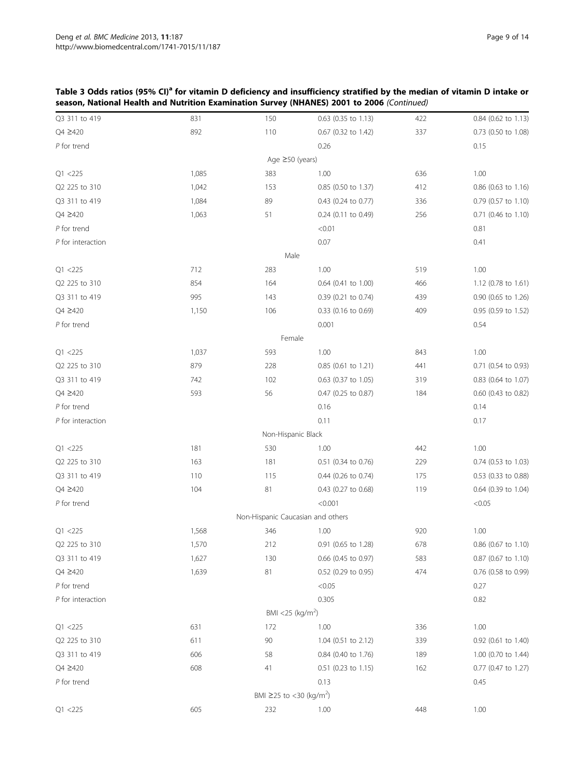| Q3 311 to 419       | 831   | 150                                 | 0.63 (0.35 to 1.13)   | 422 | 0.84 (0.62 to 1.13)   |
|---------------------|-------|-------------------------------------|-----------------------|-----|-----------------------|
| Q4 ≥420             | 892   | 110                                 | 0.67 (0.32 to 1.42)   | 337 | 0.73 (0.50 to 1.08)   |
| $P$ for trend       |       |                                     | 0.26                  |     | 0.15                  |
|                     |       | Age ≥50 (years)                     |                       |     |                       |
| Q1 < 225            | 1,085 | 383                                 | 1.00                  | 636 | 1.00                  |
| Q2 225 to 310       | 1,042 | 153                                 | 0.85 (0.50 to 1.37)   | 412 | $0.86$ (0.63 to 1.16) |
| Q3 311 to 419       | 1,084 | 89                                  | 0.43 (0.24 to 0.77)   | 336 | 0.79 (0.57 to 1.10)   |
| Q4 ≥420             | 1,063 | 51                                  | $0.24$ (0.11 to 0.49) | 256 | 0.71 (0.46 to 1.10)   |
| $P$ for trend       |       |                                     | < 0.01                |     | 0.81                  |
| $P$ for interaction |       |                                     | 0.07                  |     | 0.41                  |
|                     |       | Male                                |                       |     |                       |
| Q1 < 225            | 712   | 283                                 | 1.00                  | 519 | 1.00                  |
| Q2 225 to 310       | 854   | 164                                 | 0.64 (0.41 to 1.00)   | 466 | 1.12 (0.78 to 1.61)   |
| Q3 311 to 419       | 995   | 143                                 | 0.39 (0.21 to 0.74)   | 439 | 0.90 (0.65 to 1.26)   |
| Q4 ≥420             | 1,150 | 106                                 | 0.33 (0.16 to 0.69)   | 409 | 0.95 (0.59 to 1.52)   |
| $P$ for trend       |       |                                     | 0.001                 |     | 0.54                  |
|                     |       | Female                              |                       |     |                       |
| Q1 < 225            | 1,037 | 593                                 | 1.00                  | 843 | 1.00                  |
| Q2 225 to 310       | 879   | 228                                 | 0.85 (0.61 to 1.21)   | 441 | 0.71 (0.54 to 0.93)   |
| Q3 311 to 419       | 742   | 102                                 | 0.63 (0.37 to 1.05)   | 319 | 0.83 (0.64 to 1.07)   |
| Q4 ≥420             | 593   | 56                                  | 0.47 (0.25 to 0.87)   | 184 | 0.60 (0.43 to 0.82)   |
| $P$ for trend       |       |                                     | 0.16                  |     | 0.14                  |
| $P$ for interaction |       |                                     | 0.11                  |     | 0.17                  |
|                     |       | Non-Hispanic Black                  |                       |     |                       |
| Q1 < 225            | 181   | 530                                 | 1.00                  | 442 | 1.00                  |
| Q2 225 to 310       | 163   | 181                                 | 0.51 (0.34 to 0.76)   | 229 | 0.74 (0.53 to 1.03)   |
| Q3 311 to 419       | 110   | 115                                 | 0.44 (0.26 to 0.74)   | 175 | 0.53 (0.33 to 0.88)   |
| Q4 ≥420             | 104   | 81                                  | 0.43 (0.27 to 0.68)   | 119 | 0.64 (0.39 to 1.04)   |
| $P$ for trend       |       |                                     | < 0.001               |     | < 0.05                |
|                     |       | Non-Hispanic Caucasian and others   |                       |     |                       |
| Q1 < 225            | 1,568 | 346                                 | 1.00                  | 920 | 1.00                  |
| Q2 225 to 310       | 1,570 | 212                                 | 0.91 (0.65 to 1.28)   | 678 | 0.86 (0.67 to 1.10)   |
| Q3 311 to 419       | 1,627 | 130                                 | 0.66 (0.45 to 0.97)   | 583 | 0.87 (0.67 to 1.10)   |
| Q4 ≥420             | 1,639 | 81                                  | 0.52 (0.29 to 0.95)   | 474 | 0.76 (0.58 to 0.99)   |
| $P$ for trend       |       |                                     | < 0.05                |     | 0.27                  |
| $P$ for interaction |       |                                     | 0.305                 |     | 0.82                  |
|                     |       | BMI <25 (kg/m <sup>2</sup> )        |                       |     |                       |
| Q1 < 225            | 631   | 172                                 | 1.00                  | 336 | 1.00                  |
| Q2 225 to 310       | 611   | 90                                  | 1.04 (0.51 to 2.12)   | 339 | 0.92 (0.61 to 1.40)   |
| Q3 311 to 419       | 606   | 58                                  | 0.84 (0.40 to 1.76)   | 189 | 1.00 (0.70 to 1.44)   |
| Q4 ≥420             | 608   | 41                                  | 0.51 (0.23 to 1.15)   | 162 | 0.77 (0.47 to 1.27)   |
| $P$ for trend       |       |                                     | 0.13                  |     | 0.45                  |
|                     |       | BMI ≥25 to <30 (kg/m <sup>2</sup> ) |                       |     |                       |
| Q1 < 225            | 605   | 232                                 | 1.00                  | 448 | 1.00                  |

## Table 3 Odds ratios (95% CI)<sup>a</sup> for vitamin D deficiency and insufficiency stratified by the median of vitamin D intake or season, National Health and Nutrition Examination Survey (NHANES) 2001 to 2006 (Continued)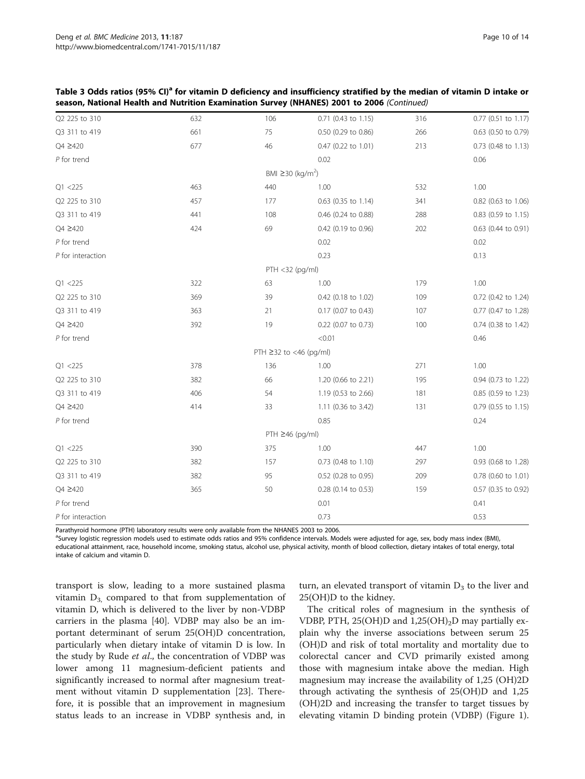|                     |     |                                    | $\alpha$ Nativian Examination Sarvey (Nitrinits) Zoot to Zooo (Commaca) |     |                       |
|---------------------|-----|------------------------------------|-------------------------------------------------------------------------|-----|-----------------------|
| Q2 225 to 310       | 632 | 106                                | 0.71 (0.43 to 1.15)                                                     | 316 | 0.77 (0.51 to 1.17)   |
| Q3 311 to 419       | 661 | 75                                 | 0.50 (0.29 to 0.86)                                                     | 266 | 0.63 (0.50 to 0.79)   |
| Q4 ≥420             | 677 | 46                                 | 0.47 (0.22 to 1.01)                                                     | 213 | 0.73 (0.48 to 1.13)   |
| $P$ for trend       |     |                                    | 0.02                                                                    |     | 0.06                  |
|                     |     | BMI $\geq$ 30 (kg/m <sup>2</sup> ) |                                                                         |     |                       |
| Q1 < 225            | 463 | 440                                | 1.00                                                                    | 532 | 1.00                  |
| Q2 225 to 310       | 457 | 177                                | 0.63 (0.35 to 1.14)                                                     | 341 | 0.82 (0.63 to 1.06)   |
| Q3 311 to 419       | 441 | 108                                | 0.46 (0.24 to 0.88)                                                     | 288 | 0.83 (0.59 to 1.15)   |
| Q4 2420             | 424 | 69                                 | 0.42 (0.19 to 0.96)                                                     | 202 | 0.63 (0.44 to 0.91)   |
| $P$ for trend       |     |                                    | 0.02                                                                    |     | 0.02                  |
| $P$ for interaction |     |                                    | 0.23                                                                    |     | 0.13                  |
|                     |     | PTH <32 (pg/ml)                    |                                                                         |     |                       |
| Q1 < 225            | 322 | 63                                 | 1.00                                                                    | 179 | 1.00                  |
| Q2 225 to 310       | 369 | 39                                 | 0.42 (0.18 to 1.02)                                                     | 109 | 0.72 (0.42 to 1.24)   |
| Q3 311 to 419       | 363 | 21                                 | 0.17 (0.07 to 0.43)                                                     | 107 | 0.77 (0.47 to 1.28)   |
| Q4 ≥420             | 392 | 19                                 | 0.22 (0.07 to 0.73)                                                     | 100 | 0.74 (0.38 to 1.42)   |
| $P$ for trend       |     |                                    | < 0.01                                                                  |     | 0.46                  |
|                     |     | PTH ≥32 to <46 (pg/ml)             |                                                                         |     |                       |
| Q1 < 225            | 378 | 136                                | 1.00                                                                    | 271 | 1.00                  |
| Q2 225 to 310       | 382 | 66                                 | 1.20 (0.66 to 2.21)                                                     | 195 | 0.94 (0.73 to 1.22)   |
| Q3 311 to 419       | 406 | 54                                 | 1.19 (0.53 to 2.66)                                                     | 181 | 0.85 (0.59 to 1.23)   |
| Q4 ≥420             | 414 | 33                                 | 1.11 (0.36 to 3.42)                                                     | 131 | $0.79$ (0.55 to 1.15) |
| $P$ for trend       |     |                                    | 0.85                                                                    |     | 0.24                  |
|                     |     | $PTH \geq 46$ (pg/ml)              |                                                                         |     |                       |
| Q1 < 225            | 390 | 375                                | 1.00                                                                    | 447 | 1.00                  |
| Q2 225 to 310       | 382 | 157                                | 0.73 (0.48 to 1.10)                                                     | 297 | 0.93 (0.68 to 1.28)   |
| Q3 311 to 419       | 382 | 95                                 | 0.52 (0.28 to 0.95)                                                     | 209 | 0.78 (0.60 to 1.01)   |
| Q4 ≥420             | 365 | 50                                 | 0.28 (0.14 to 0.53)                                                     | 159 | 0.57 (0.35 to 0.92)   |
| $P$ for trend       |     |                                    | 0.01                                                                    |     | 0.41                  |
| $P$ for interaction |     |                                    | 0.73                                                                    |     | 0.53                  |

Table 3 Odds ratios (95% CI)<sup>a</sup> for vitamin D deficiency and insufficiency stratified by the median of vitamin D intake or season, National Health and Nutrition Examination Survey (NHANES) 2001 to 2006 (Continued)

Parathyroid hormone (PTH) laboratory results were only available from the NHANES 2003 to 2006.

<sup>a</sup>Survey logistic regression models used to estimate odds ratios and 95% confidence intervals. Models were adjusted for age, sex, body mass index (BMI), educational attainment, race, household income, smoking status, alcohol use, physical activity, month of blood collection, dietary intakes of total energy, total intake of calcium and vitamin D.

transport is slow, leading to a more sustained plasma vitamin  $D_3$  compared to that from supplementation of vitamin D, which is delivered to the liver by non-VDBP carriers in the plasma [\[40](#page-13-0)]. VDBP may also be an important determinant of serum 25(OH)D concentration, particularly when dietary intake of vitamin D is low. In the study by Rude et al., the concentration of VDBP was lower among 11 magnesium-deficient patients and significantly increased to normal after magnesium treatment without vitamin D supplementation [[23\]](#page-12-0). Therefore, it is possible that an improvement in magnesium status leads to an increase in VDBP synthesis and, in

turn, an elevated transport of vitamin  $D_3$  to the liver and 25(OH)D to the kidney.

The critical roles of magnesium in the synthesis of VDBP, PTH, 25(OH)D and  $1,25(OH)_2D$  may partially explain why the inverse associations between serum 25 (OH)D and risk of total mortality and mortality due to colorectal cancer and CVD primarily existed among those with magnesium intake above the median. High magnesium may increase the availability of 1,25 (OH)2D through activating the synthesis of 25(OH)D and 1,25 (OH)2D and increasing the transfer to target tissues by elevating vitamin D binding protein (VDBP) (Figure [1](#page-1-0)).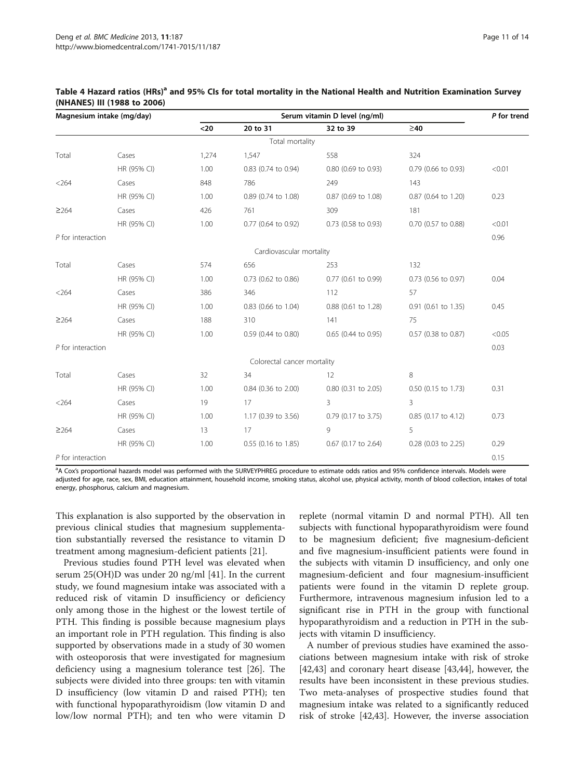| Magnesium intake (mg/day) |             | Serum vitamin D level (ng/ml) |                             |                       |                     |        |
|---------------------------|-------------|-------------------------------|-----------------------------|-----------------------|---------------------|--------|
|                           |             | $20$                          | 20 to 31                    | 32 to 39              | $\geq 40$           |        |
|                           |             |                               | Total mortality             |                       |                     |        |
| Total                     | Cases       | 1,274                         | 1,547                       | 558                   | 324                 |        |
|                           | HR (95% CI) | 1.00                          | 0.83 (0.74 to 0.94)         | 0.80 (0.69 to 0.93)   | 0.79 (0.66 to 0.93) | < 0.01 |
| < 264                     | Cases       | 848                           | 786                         | 249                   | 143                 |        |
|                           | HR (95% CI) | 1.00                          | 0.89 (0.74 to 1.08)         | 0.87 (0.69 to 1.08)   | 0.87 (0.64 to 1.20) | 0.23   |
| ≥264                      | Cases       | 426                           | 761                         | 309                   | 181                 |        |
|                           | HR (95% CI) | 1.00                          | 0.77 (0.64 to 0.92)         | $0.73$ (0.58 to 0.93) | 0.70 (0.57 to 0.88) | < 0.01 |
| $P$ for interaction       |             |                               |                             |                       |                     | 0.96   |
|                           |             |                               | Cardiovascular mortality    |                       |                     |        |
| Total                     | Cases       | 574                           | 656                         | 253                   | 132                 |        |
|                           | HR (95% CI) | 1.00                          | $0.73$ (0.62 to 0.86)       | 0.77 (0.61 to 0.99)   | 0.73 (0.56 to 0.97) | 0.04   |
| < 264                     | Cases       | 386                           | 346                         | 112                   | 57                  |        |
|                           | HR (95% CI) | 1.00                          | 0.83 (0.66 to 1.04)         | 0.88 (0.61 to 1.28)   | 0.91 (0.61 to 1.35) | 0.45   |
| ≥264                      | Cases       | 188                           | 310                         | 141                   | 75                  |        |
|                           | HR (95% CI) | 1.00                          | $0.59$ (0.44 to 0.80)       | $0.65$ (0.44 to 0.95) | 0.57 (0.38 to 0.87) | < 0.05 |
| $P$ for interaction       |             |                               |                             |                       |                     | 0.03   |
|                           |             |                               | Colorectal cancer mortality |                       |                     |        |
| Total                     | Cases       | 32                            | 34                          | 12                    | 8                   |        |
|                           | HR (95% CI) | 1.00                          | 0.84 (0.36 to 2.00)         | 0.80 (0.31 to 2.05)   | 0.50 (0.15 to 1.73) | 0.31   |
| < 264                     | Cases       | 19                            | 17                          | 3                     | 3                   |        |
|                           | HR (95% CI) | 1.00                          | 1.17 (0.39 to 3.56)         | 0.79 (0.17 to 3.75)   | 0.85 (0.17 to 4.12) | 0.73   |
| $\geq$ 264                | Cases       | 13                            | 17                          | 9                     | 5                   |        |
|                           | HR (95% CI) | 1.00                          | $0.55$ (0.16 to 1.85)       | $0.67$ (0.17 to 2.64) | 0.28 (0.03 to 2.25) | 0.29   |
| P for interaction         |             |                               |                             |                       |                     | 0.15   |

#### <span id="page-10-0"></span>Table 4 Hazard ratios (HRs)<sup>a</sup> and 95% CIs for total mortality in the National Health and Nutrition Examination Survey (NHANES) III (1988 to 2006)

<sup>a</sup>A Cox's proportional hazards model was performed with the SURVEYPHREG procedure to estimate odds ratios and 95% confidence intervals. Models were adjusted for age, race, sex, BMI, education attainment, household income, smoking status, alcohol use, physical activity, month of blood collection, intakes of total energy, phosphorus, calcium and magnesium.

This explanation is also supported by the observation in previous clinical studies that magnesium supplementation substantially reversed the resistance to vitamin D treatment among magnesium-deficient patients [\[21\]](#page-12-0).

Previous studies found PTH level was elevated when serum 25(OH)D was under 20 ng/ml [[41\]](#page-13-0). In the current study, we found magnesium intake was associated with a reduced risk of vitamin D insufficiency or deficiency only among those in the highest or the lowest tertile of PTH. This finding is possible because magnesium plays an important role in PTH regulation. This finding is also supported by observations made in a study of 30 women with osteoporosis that were investigated for magnesium deficiency using a magnesium tolerance test [\[26](#page-12-0)]. The subjects were divided into three groups: ten with vitamin D insufficiency (low vitamin D and raised PTH); ten with functional hypoparathyroidism (low vitamin D and low/low normal PTH); and ten who were vitamin D

replete (normal vitamin D and normal PTH). All ten subjects with functional hypoparathyroidism were found to be magnesium deficient; five magnesium-deficient and five magnesium-insufficient patients were found in the subjects with vitamin D insufficiency, and only one magnesium-deficient and four magnesium-insufficient patients were found in the vitamin D replete group. Furthermore, intravenous magnesium infusion led to a significant rise in PTH in the group with functional hypoparathyroidism and a reduction in PTH in the subjects with vitamin D insufficiency.

A number of previous studies have examined the associations between magnesium intake with risk of stroke [[42,43\]](#page-13-0) and coronary heart disease [\[43,44](#page-13-0)], however, the results have been inconsistent in these previous studies. Two meta-analyses of prospective studies found that magnesium intake was related to a significantly reduced risk of stroke [\[42,43](#page-13-0)]. However, the inverse association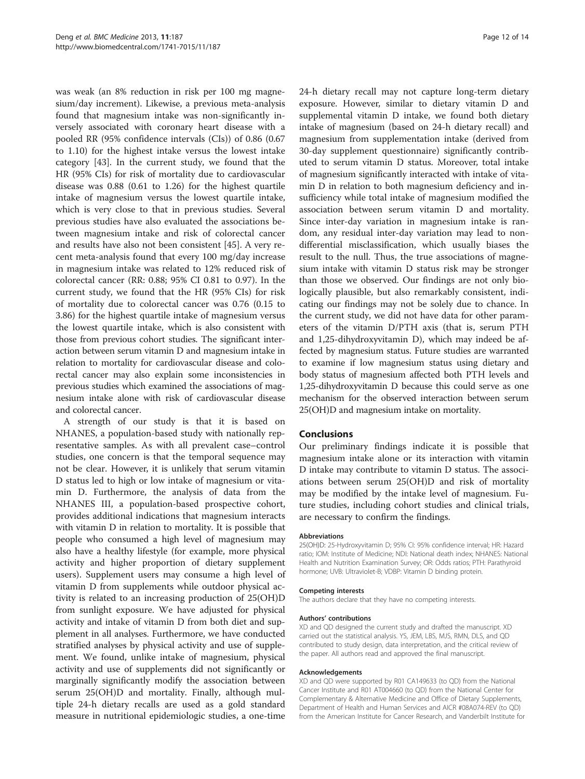was weak (an 8% reduction in risk per 100 mg magnesium/day increment). Likewise, a previous meta-analysis found that magnesium intake was non-significantly inversely associated with coronary heart disease with a pooled RR (95% confidence intervals (CIs)) of 0.86 (0.67 to 1.10) for the highest intake versus the lowest intake category [[43\]](#page-13-0). In the current study, we found that the HR (95% CIs) for risk of mortality due to cardiovascular disease was 0.88 (0.61 to 1.26) for the highest quartile intake of magnesium versus the lowest quartile intake, which is very close to that in previous studies. Several previous studies have also evaluated the associations between magnesium intake and risk of colorectal cancer and results have also not been consistent [\[45](#page-13-0)]. A very recent meta-analysis found that every 100 mg/day increase in magnesium intake was related to 12% reduced risk of colorectal cancer (RR: 0.88; 95% CI 0.81 to 0.97). In the current study, we found that the HR (95% CIs) for risk of mortality due to colorectal cancer was 0.76 (0.15 to 3.86) for the highest quartile intake of magnesium versus the lowest quartile intake, which is also consistent with those from previous cohort studies. The significant interaction between serum vitamin D and magnesium intake in relation to mortality for cardiovascular disease and colorectal cancer may also explain some inconsistencies in previous studies which examined the associations of magnesium intake alone with risk of cardiovascular disease and colorectal cancer.

A strength of our study is that it is based on NHANES, a population-based study with nationally representative samples. As with all prevalent case–control studies, one concern is that the temporal sequence may not be clear. However, it is unlikely that serum vitamin D status led to high or low intake of magnesium or vitamin D. Furthermore, the analysis of data from the NHANES III, a population-based prospective cohort, provides additional indications that magnesium interacts with vitamin D in relation to mortality. It is possible that people who consumed a high level of magnesium may also have a healthy lifestyle (for example, more physical activity and higher proportion of dietary supplement users). Supplement users may consume a high level of vitamin D from supplements while outdoor physical activity is related to an increasing production of 25(OH)D from sunlight exposure. We have adjusted for physical activity and intake of vitamin D from both diet and supplement in all analyses. Furthermore, we have conducted stratified analyses by physical activity and use of supplement. We found, unlike intake of magnesium, physical activity and use of supplements did not significantly or marginally significantly modify the association between serum 25(OH)D and mortality. Finally, although multiple 24-h dietary recalls are used as a gold standard measure in nutritional epidemiologic studies, a one-time

24-h dietary recall may not capture long-term dietary exposure. However, similar to dietary vitamin D and supplemental vitamin D intake, we found both dietary intake of magnesium (based on 24-h dietary recall) and magnesium from supplementation intake (derived from 30-day supplement questionnaire) significantly contributed to serum vitamin D status. Moreover, total intake of magnesium significantly interacted with intake of vitamin D in relation to both magnesium deficiency and insufficiency while total intake of magnesium modified the association between serum vitamin D and mortality. Since inter-day variation in magnesium intake is random, any residual inter-day variation may lead to nondifferential misclassification, which usually biases the result to the null. Thus, the true associations of magnesium intake with vitamin D status risk may be stronger than those we observed. Our findings are not only biologically plausible, but also remarkably consistent, indicating our findings may not be solely due to chance. In the current study, we did not have data for other parameters of the vitamin D/PTH axis (that is, serum PTH and 1,25-dihydroxyvitamin D), which may indeed be affected by magnesium status. Future studies are warranted to examine if low magnesium status using dietary and body status of magnesium affected both PTH levels and 1,25-dihydroxyvitamin D because this could serve as one mechanism for the observed interaction between serum 25(OH)D and magnesium intake on mortality.

#### Conclusions

Our preliminary findings indicate it is possible that magnesium intake alone or its interaction with vitamin D intake may contribute to vitamin D status. The associations between serum 25(OH)D and risk of mortality may be modified by the intake level of magnesium. Future studies, including cohort studies and clinical trials, are necessary to confirm the findings.

#### Abbreviations

25(OH)D: 25-Hydroxyvitamin D; 95% CI: 95% confidence interval; HR: Hazard ratio; IOM: Institute of Medicine; NDI: National death index; NHANES: National Health and Nutrition Examination Survey; OR: Odds ratios; PTH: Parathyroid hormone; UVB: Ultraviolet-B; VDBP: Vitamin D binding protein.

#### Competing interests

The authors declare that they have no competing interests.

#### Authors' contributions

XD and QD designed the current study and drafted the manuscript. XD carried out the statistical analysis. YS, JEM, LBS, MJS, RMN, DLS, and QD contributed to study design, data interpretation, and the critical review of the paper. All authors read and approved the final manuscript.

#### Acknowledgements

XD and QD were supported by R01 CA149633 (to QD) from the National Cancer Institute and R01 AT004660 (to QD) from the National Center for Complementary & Alternative Medicine and Office of Dietary Supplements, Department of Health and Human Services and AICR #08A074-REV (to QD) from the American Institute for Cancer Research, and Vanderbilt Institute for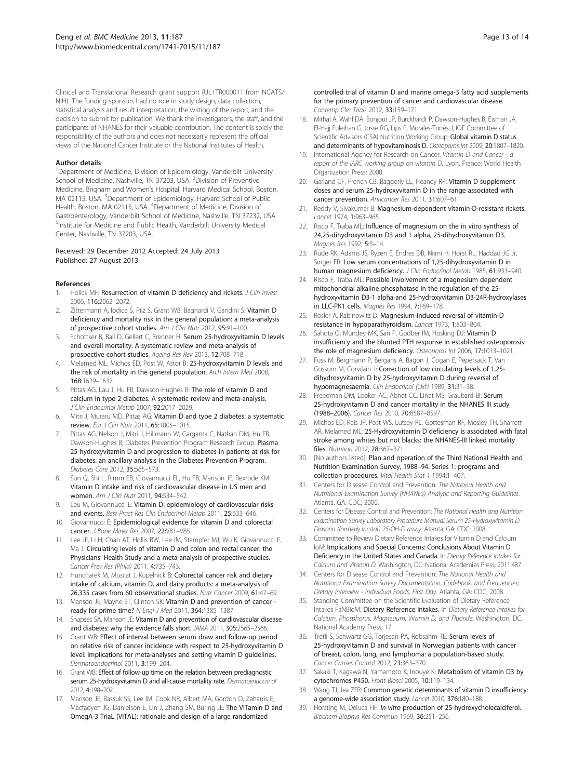<span id="page-12-0"></span>Clinical and Translational Research grant support (UL1TR000011 from NCATS/ NIH). The funding sponsors had no role in study design, data collection, statistical analysis and result interpretation, the writing of the report, and the decision to submit for publication. We thank the investigators, the staff, and the participants of NHANES for their valuable contribution. The content is solely the responsibility of the authors and does not necessarily represent the official views of the National Cancer Institute or the National Institutes of Health.

#### Author details

<sup>1</sup>Department of Medicine, Division of Epidemiology, Vanderbilt University School of Medicine, Nashville, TN 37203, USA. <sup>2</sup>Division of Preventive Medicine, Brigham and Women's Hospital, Harvard Medical School, Boston, MA 02115, USA. <sup>3</sup>Department of Epidemiology, Harvard School of Public Health, Boston, MA 02115, USA. <sup>4</sup>Department of Medicine, Division of Gastroenterology, Vanderbilt School of Medicine, Nashville, TN 37232, USA. 5 Institute for Medicine and Public Health, Vanderbilt University Medical Center, Nashville, TN 37203, USA.

#### Received: 29 December 2012 Accepted: 24 July 2013 Published: 27 August 2013

#### References

- 1. Holick MF: Resurrection of vitamin D deficiency and rickets. J Clin Invest 2006, 116:2062–2072.
- Zittermann A, Iodice S, Pilz S, Grant WB, Bagnardi V, Gandini S: Vitamin D deficiency and mortality risk in the general population: a meta-analysis of prospective cohort studies. Am J Clin Nutr 2012, 95:91–100.
- 3. Schottker B, Ball D, Gellert C, Brenner H: Serum 25-hydroxyvitamin D levels and overall mortality. A systematic review and meta-analysis of prospective cohort studies. Ageing Res Rev 2013, 12:708–718.
- Melamed ML, Michos ED, Post W, Astor B: 25-hydroxyvitamin D levels and the risk of mortality in the general population. Arch Intern Med 2008, 168:1629–1637.
- Pittas AG, Lau J, Hu FB, Dawson-Hughes B: The role of vitamin D and calcium in type 2 diabetes. A systematic review and meta-analysis. J Clin Endocrinol Metab 2007, 92:2017–2029.
- 6. Mitri J, Muraru MD, Pittas AG: Vitamin D and type 2 diabetes: a systematic review. Eur J Clin Nutr 2011, 65:1005–1015.
- Pittas AG, Nelson J, Mitri J, Hillmann W, Garganta C, Nathan DM, Hu FB, Dawson-Hughes B, Diabetes Prevention Program Research Group: Plasma 25-hydroxyvitamin D and progression to diabetes in patients at risk for diabetes: an ancillary analysis in the Diabetes Prevention Program. Diabetes Care 2012, 35:565–573.
- 8. Sun Q, Shi L, Rimm EB, Giovannucci EL, Hu FB, Manson JE, Rexrode KM: Vitamin D intake and risk of cardiovascular disease in US men and women. Am J Clin Nutr 2011, 94:534–542.
- 9. Leu M, Giovannucci E: Vitamin D: epidemiology of cardiovascular risks and events. Best Pract Res Clin Endocrinol Metab 2011, 25:633–646.
- 10. Giovannucci E: Epidemiological evidence for vitamin D and colorectal cancer. J Bone Miner Res 2007, 22:V81-V85.
- 11. Lee JE, Li H, Chan AT, Hollis BW, Lee IM, Stampfer MJ, Wu K, Giovannucci E, Ma J: Circulating levels of vitamin D and colon and rectal cancer: the Physicians' Health Study and a meta-analysis of prospective studies. Cancer Prev Res (Phila) 2011, 4:735–743.
- 12. Huncharek M, Muscat J, Kupelnick B: Colorectal cancer risk and dietary intake of calcium, vitamin D, and dairy products: a meta-analysis of 26,335 cases from 60 observational studies. Nutr Cancer 2009, 61:47–69.
- 13. Manson JE, Mayne ST, Clinton SK: Vitamin D and prevention of cancer ready for prime time? N Engl J Med 2011, 364:1385–1387.
- 14. Shapses SA, Manson JE: Vitamin D and prevention of cardiovascular disease and diabetes: why the evidence falls short. JAMA 2011, 305:2565–2566.
- 15. Grant WB: Effect of interval between serum draw and follow-up period on relative risk of cancer incidence with respect to 25-hydroxyvitamin D level: implications for meta-analyses and setting vitamin D guidelines. Dermatoendocrinol 2011, 3:199–204.
- 16. Grant WB: Effect of follow-up time on the relation between prediagnostic serum 25-hydroxyvitamin D and all-cause mortality rate. Dermatoendocrinol 2012, 4:198–202.
- 17. Manson JE, Bassuk SS, Lee IM, Cook NR, Albert MA, Gordon D, Zaharris E, Macfadyen JG, Danielson E, Lin J, Zhang SM, Buring JE: The VITamin D and OmegA-3 TriaL (VITAL): rationale and design of a large randomized

controlled trial of vitamin D and marine omega-3 fatty acid supplements for the primary prevention of cancer and cardiovascular disease. Contemp Clin Trials 2012, 33:159–171.

- 18. Mithal A, Wahl DA, Bonjour JP, Burckhardt P, Dawson-Hughes B, Eisman JA, El-Hajj Fuleihan G, Josse RG, Lips P, Morales-Torres J, IOF Committee of Scientific Advisors (CSA) Nutrition Working Group: Global vitamin D status and determinants of hypovitaminosis D. Osteoporos Int 2009, 20:1807–1820.
- 19. International Agency for Research on Cancer: Vitamin D and Cancer a report of the IARC working group on vitamin D. Lyon, France: World Health Organization Press; 2008.
- 20. Garland CF, French CB, Baggerly LL, Heaney RP: Vitamin D supplement doses and serum 25-hydroxyvitamin D in the range associated with cancer prevention. Anticancer Res 2011, 31:607–611.
- 21. Reddy V, Sivakumar B: Magnesium-dependent vitamin-D-resistant rickets. Lancet 1974, 1:963-965.
- 22. Risco F, Traba ML: Influence of magnesium on the in vitro synthesis of 24,25-dihydroxyvitamin D3 and 1 alpha, 25-dihydroxyvitamin D3. Magnes Res 1992, 5:5–14.
- 23. Rude RK, Adams JS, Ryzen E, Endres DB, Niimi H, Horst RL, Haddad JG Jr, Singer FR: Low serum concentrations of 1,25-dihydroxyvitamin D in human magnesium deficiency. J Clin Endocrinol Metab 1985, 61:933–940.
- Risco F, Traba ML: Possible involvement of a magnesium dependent mitochondrial alkaline phosphatase in the regulation of the 25 hydroxyvitamin D3-1 alpha-and 25-hydroxyvitamin D3-24R-hydroxylases in LLC-PK1 cells. Magnes Res 1994, 7:169–178.
- 25. Rosler A, Rabinowitz D: Magnesium-induced reversal of vitamin-D resistance in hypoparathyroidism. Lancet 1973, 1:803–804.
- 26. Sahota O, Mundey MK, San P, Godber IM, Hosking DJ: Vitamin D insufficiency and the blunted PTH response in established osteoporosis: the role of magnesium deficiency. Osteoporos Int 2006, 17:1013–1021.
- 27. Fuss M, Bergmann P, Bergans A, Bagon J, Cogan E, Pepersack T, Van Gossum M, Corvilain J: Correction of low circulating levels of 1,25 dihydroxyvitamin D by 25-hydroxyvitamin D during reversal of hypomagnesaemia. Clin Endocrinol (Oxf) 1989, 31:31-38.
- 28. Freedman DM, Looker AC, Abnet CC, Linet MS, Graubard BI: Serum 25-hydroxyvitamin D and cancer mortality in the NHANES III study (1988–2006). Cancer Res 2010, 70:8587–8597.
- 29. Michos ED, Reis JP, Post WS, Lutsey PL, Gottesman RF, Mosley TH, Sharrett AR, Melamed ML: 25-Hydroxyvitamin D deficiency is associated with fatal stroke among whites but not blacks: the NHANES-III linked mortality files. Nutrition 2012, 28:367–371.
- 30. [No authors listed]: Plan and operation of the Third National Health and Nutrition Examination Survey, 1988–94. Series 1: programs and collection procedures. Vital Health Stat 1 1994:1–407.
- 31. Centers for Disease Control and Prevention: The National Health and Nutritional Examination Survey (NHANES) Analytic and Reporting Guidelines. Atlanta, GA: CDC; 2006.
- 32. Centers for Disease Control and Prevention: The National Health and Nutrition Examination Survey Laboratory Procedure Manual Serum 25-Hydroxyvitamin D Diasorin (formerly Incstar) 25-OH-D assay. Atlanta, GA: CDC; 2008.
- 33. Committee to Review Dietary Reference Intakes for Vitamin D and Calcium IoM: Implications and Special Concerns: Conclusions About Vitamin D Deficiency in the United States and Canada. In Dietary Reference Intakes for Calcium and Vitamin D. Washington, DC: National Academies Press; 2011:487.
- 34. Centers for Disease Control and Prevention: The National Health and Nutritiona Examination Survey Documentation, Codebook, and Frequencies; Dietary Interview - Individual Foods, First Day. Atlanta, GA: CDC; 2008.
- 35. Standing Committee on the Scientific Evaluation of Dietary Reference Intakes FaNBIoM: Dietary Reference Intakes. In Dietary Reference Intakes for Calcium, Phosphorus, Magnesium, Vitamin D, and Fluoride. Washington, DC: National Academy Press; 17.
- 36. Tretli S, Schwartz GG, Torjesen PA, Robsahm TE: Serum levels of 25-hydroxyvitamin D and survival in Norwegian patients with cancer of breast, colon, lung, and lymphoma: a population-based study. Cancer Causes Control 2012, 23:363–370.
- 37. Sakaki T, Kagawa N, Yamamoto K, Inouye K: Metabolism of vitamin D3 by cytochromes P450. Front Biosci 2005, 10:119–134.
- 38. Wang TJ, Jea ZFR: Common genetic determinants of vitamin D insufficiency: a genome-wide association study. Lancet 2010, 376:180–188.
- 39. Horsting M, Deluca HF: In vitro production of 25-hydroxycholecalciferol. Biochem Biophys Res Commun 1969, 36:251–256.